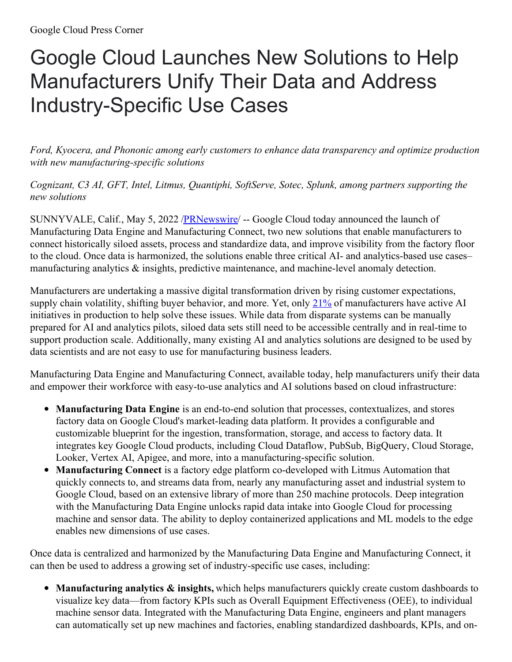## Google Cloud Launches New Solutions to Help Manufacturers Unify Their Data and Address Industry-Specific Use Cases

*Ford, Kyocera, and Phononic among early customers to enhance data transparency and optimize production with new manufacturing-specific solutions*

*Cognizant, C3 AI, GFT, Intel, Litmus, Quantiphi, SoftServe, Sotec, Splunk, among partners supporting the new solutions*

SUNNYVALE, Calif., May 5, 2022 [/PRNewswire](http://www.prnewswire.com/)/ -- Google Cloud today announced the launch of Manufacturing Data Engine and Manufacturing Connect, two new solutions that enable manufacturers to connect historically siloed assets, process and standardize data, and improve visibility from the factory floor to the cloud. Once data is harmonized, the solutions enable three critical AI- and analytics-based use cases– manufacturing analytics & insights, predictive maintenance, and machine-level anomaly detection.

Manufacturers are undertaking a massive digital transformation driven by rising customer expectations, supply chain volatility, shifting buyer behavior, and more. Yet, only  $21\%$  of manufacturers have active AI initiatives in production to help solve these issues. While data from disparate systems can be manually prepared for AI and analytics pilots, siloed data sets still need to be accessible centrally and in real-time to support production scale. Additionally, many existing AI and analytics solutions are designed to be used by data scientists and are not easy to use for manufacturing business leaders.

Manufacturing Data Engine and Manufacturing Connect, available today, help manufacturers unify their data and empower their workforce with easy-to-use analytics and AI solutions based on cloud infrastructure:

- **Manufacturing Data Engine** is an end-to-end solution that processes, contextualizes, and stores factory data on Google Cloud's market-leading data platform. It provides a configurable and customizable blueprint for the ingestion, transformation, storage, and access to factory data. It integrates key Google Cloud products, including Cloud Dataflow, PubSub, BigQuery, Cloud Storage, Looker, Vertex AI, Apigee, and more, into a manufacturing-specific solution.
- **Manufacturing Connect** is a factory edge platform co-developed with Litmus Automation that quickly connects to, and streams data from, nearly any manufacturing asset and industrial system to Google Cloud, based on an extensive library of more than 250 machine protocols. Deep integration with the Manufacturing Data Engine unlocks rapid data intake into Google Cloud for processing machine and sensor data. The ability to deploy containerized applications and ML models to the edge enables new dimensions of use cases.

Once data is centralized and harmonized by the Manufacturing Data Engine and Manufacturing Connect, it can then be used to address a growing set of industry-specific use cases, including:

**Manufacturing analytics & insights,** which helps manufacturers quickly create custom dashboards to visualize key data—from factory KPIs such as Overall Equipment Effectiveness (OEE), to individual machine sensor data. Integrated with the Manufacturing Data Engine, engineers and plant managers can automatically set up new machines and factories, enabling standardized dashboards, KPIs, and on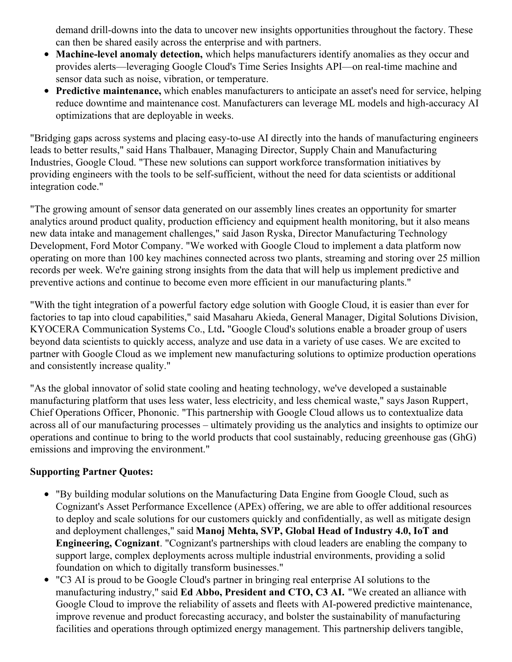demand drill-downs into the data to uncover new insights opportunities throughout the factory. These can then be shared easily across the enterprise and with partners.

- **Machine-level anomaly detection,** which helps manufacturers identify anomalies as they occur and provides alerts—leveraging Google Cloud's Time Series Insights API—on real-time machine and sensor data such as noise, vibration, or temperature.
- **Predictive maintenance,** which enables manufacturers to anticipate an asset's need for service, helping reduce downtime and maintenance cost. Manufacturers can leverage ML models and high-accuracy AI optimizations that are deployable in weeks.

"Bridging gaps across systems and placing easy-to-use AI directly into the hands of manufacturing engineers leads to better results," said Hans Thalbauer, Managing Director, Supply Chain and Manufacturing Industries, Google Cloud. "These new solutions can support workforce transformation initiatives by providing engineers with the tools to be self-sufficient, without the need for data scientists or additional integration code."

"The growing amount of sensor data generated on our assembly lines creates an opportunity for smarter analytics around product quality, production efficiency and equipment health monitoring, but it also means new data intake and management challenges," said Jason Ryska, Director Manufacturing Technology Development, Ford Motor Company. "We worked with Google Cloud to implement a data platform now operating on more than 100 key machines connected across two plants, streaming and storing over 25 million records per week. We're gaining strong insights from the data that will help us implement predictive and preventive actions and continue to become even more efficient in our manufacturing plants."

"With the tight integration of a powerful factory edge solution with Google Cloud, it is easier than ever for factories to tap into cloud capabilities," said Masaharu Akieda, General Manager, Digital Solutions Division, KYOCERA Communication Systems Co., Ltd**.** "Google Cloud's solutions enable a broader group of users beyond data scientists to quickly access, analyze and use data in a variety of use cases. We are excited to partner with Google Cloud as we implement new manufacturing solutions to optimize production operations and consistently increase quality."

"As the global innovator of solid state cooling and heating technology, we've developed a sustainable manufacturing platform that uses less water, less electricity, and less chemical waste," says Jason Ruppert, Chief Operations Officer, Phononic. "This partnership with Google Cloud allows us to contextualize data across all of our manufacturing processes – ultimately providing us the analytics and insights to optimize our operations and continue to bring to the world products that cool sustainably, reducing greenhouse gas (GhG) emissions and improving the environment."

## **Supporting Partner Quotes:**

- "By building modular solutions on the Manufacturing Data Engine from Google Cloud, such as Cognizant's Asset Performance Excellence (APEx) offering, we are able to offer additional resources to deploy and scale solutions for our customers quickly and confidentially, as well as mitigate design and deployment challenges," said **Manoj Mehta, SVP, Global Head of Industry 4.0, IoT and Engineering, Cognizant**. "Cognizant's partnerships with cloud leaders are enabling the company to support large, complex deployments across multiple industrial environments, providing a solid foundation on which to digitally transform businesses."
- "C3 AI is proud to be Google Cloud's partner in bringing real enterprise AI solutions to the manufacturing industry," said **Ed Abbo, President and CTO, C3 AI.** "We created an alliance with Google Cloud to improve the reliability of assets and fleets with AI-powered predictive maintenance, improve revenue and product forecasting accuracy, and bolster the sustainability of manufacturing facilities and operations through optimized energy management. This partnership delivers tangible,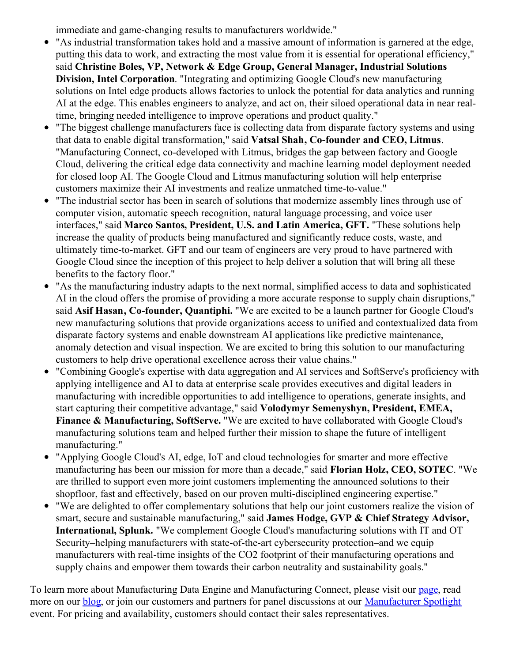immediate and game-changing results to manufacturers worldwide."

- "As industrial transformation takes hold and a massive amount of information is garnered at the edge, putting this data to work, and extracting the most value from it is essential for operational efficiency," said **Christine Boles, VP, Network & Edge Group, General Manager, Industrial Solutions Division, Intel Corporation**. "Integrating and optimizing Google Cloud's new manufacturing solutions on Intel edge products allows factories to unlock the potential for data analytics and running AI at the edge. This enables engineers to analyze, and act on, their siloed operational data in near realtime, bringing needed intelligence to improve operations and product quality."
- "The biggest challenge manufacturers face is collecting data from disparate factory systems and using that data to enable digital transformation," said **Vatsal Shah, Co-founder and CEO, Litmus**. "Manufacturing Connect, co-developed with Litmus, bridges the gap between factory and Google Cloud, delivering the critical edge data connectivity and machine learning model deployment needed for closed loop AI. The Google Cloud and Litmus manufacturing solution will help enterprise customers maximize their AI investments and realize unmatched time-to-value."
- "The industrial sector has been in search of solutions that modernize assembly lines through use of computer vision, automatic speech recognition, natural language processing, and voice user interfaces," said **Marco Santos, President, U.S. and Latin America, GFT.** "These solutions help increase the quality of products being manufactured and significantly reduce costs, waste, and ultimately time-to-market. GFT and our team of engineers are very proud to have partnered with Google Cloud since the inception of this project to help deliver a solution that will bring all these benefits to the factory floor."
- "As the manufacturing industry adapts to the next normal, simplified access to data and sophisticated AI in the cloud offers the promise of providing a more accurate response to supply chain disruptions," said **Asif Hasan, Co-founder, Quantiphi.** "We are excited to be a launch partner for Google Cloud's new manufacturing solutions that provide organizations access to unified and contextualized data from disparate factory systems and enable downstream AI applications like predictive maintenance, anomaly detection and visual inspection. We are excited to bring this solution to our manufacturing customers to help drive operational excellence across their value chains."
- "Combining Google's expertise with data aggregation and AI services and SoftServe's proficiency with applying intelligence and AI to data at enterprise scale provides executives and digital leaders in manufacturing with incredible opportunities to add intelligence to operations, generate insights, and start capturing their competitive advantage," said **Volodymyr Semenyshyn, President, EMEA, Finance & Manufacturing, SoftServe.** "We are excited to have collaborated with Google Cloud's manufacturing solutions team and helped further their mission to shape the future of intelligent manufacturing."
- "Applying Google Cloud's AI, edge, IoT and cloud technologies for smarter and more effective manufacturing has been our mission for more than a decade," said **Florian Holz, CEO, SOTEC**. "We are thrilled to support even more joint customers implementing the announced solutions to their shopfloor, fast and effectively, based on our proven multi-disciplined engineering expertise."
- "We are delighted to offer complementary solutions that help our joint customers realize the vision of smart, secure and sustainable manufacturing," said **James Hodge, GVP & Chief Strategy Advisor, International, Splunk.** "We complement Google Cloud's manufacturing solutions with IT and OT Security–helping manufacturers with state-of-the-art cybersecurity protection–and we equip manufacturers with real-time insights of the CO2 footprint of their manufacturing operations and supply chains and empower them towards their carbon neutrality and sustainability goals."

To learn more about Manufacturing Data Engine and Manufacturing Connect, please visit our [page](https://c212.net/c/link/?t=0&l=en&o=3526878-1&h=4072184017&u=https%3A%2F%2Fcloud.google.com%2Fsolutions%2Fmanufacturing-data-engine&a=page), read more on our **[blog](https://c212.net/c/link/?t=0&l=en&o=3526878-1&h=2243309876&u=https%3A%2F%2Fwww.google.com%2Furl%3Fq%3Dhttps%3A%2F%2Fcloud.google.com%2Fblog%2Ftopics%2Fmanufacturing%2Fnew-google-cloud-manufacturing-solutions%26sa%3DD%26source%3Ddocs%26ust%3D1651513337751252%26usg%3DAOvVaw1dcj94lXeZSwROJxp9NmQ6&a=blog)**, or join our customers and partners for panel discussions at our **[Manufacturer](https://c212.net/c/link/?t=0&l=en&o=3526878-1&h=159235534&u=https%3A%2F%2Fcloudonair.withgoogle.com%2Fevents%2Fmanufacturer-spotlight%3Futm_source%3Dcgc-site%26utm_medium%3Det%26utm_campaign%3DFY22-Q2-northam-ENTD148-onlineevent-er-spotlight-manufacturer%26utm_content%3Dpr%26utm_term%3D-&a=Manufacturer+Spotlight) Spotlight** event. For pricing and availability, customers should contact their sales representatives.